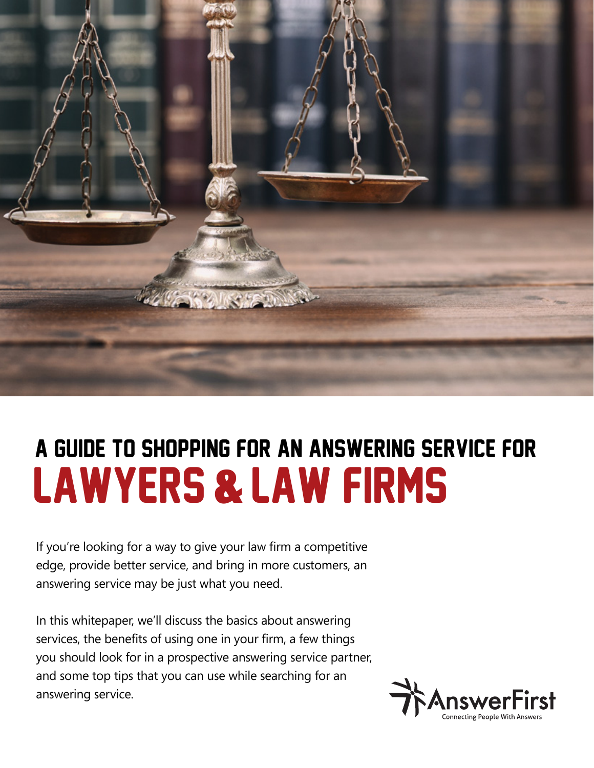

# lawyers & law firms A Guide to Shopping for an Answering Service for

If you're looking for a way to give your law firm a competitive edge, provide better service, and bring in more customers, an answering service may be just what you need.

In this whitepaper, we'll discuss the basics about answering services, the benefits of using one in your firm, a few things you should look for in a prospective answering service partner, and some top tips that you can use while searching for an answering service.

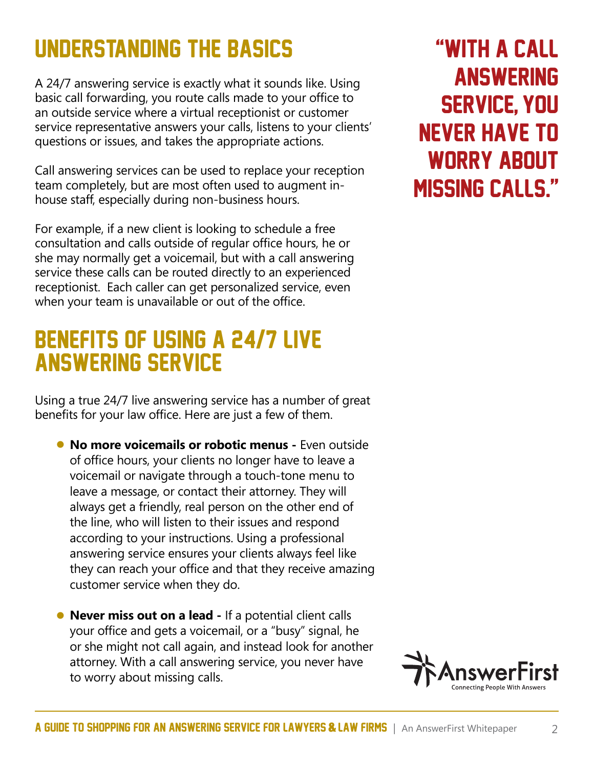## Understanding The Basics

A 24/7 answering service is exactly what it sounds like. Using basic call forwarding, you route calls made to your office to an outside service where a virtual receptionist or customer service representative answers your calls, listens to your clients' questions or issues, and takes the appropriate actions.

Call answering services can be used to replace your reception team completely, but are most often used to augment inhouse staff, especially during non-business hours.

For example, if a new client is looking to schedule a free consultation and calls outside of regular office hours, he or she may normally get a voicemail, but with a call answering service these calls can be routed directly to an experienced receptionist. Each caller can get personalized service, even when your team is unavailable or out of the office.

#### Benefits Of Using A 24/7 live Answering Service

Using a true 24/7 live answering service has a number of great benefits for your law office. Here are just a few of them.

- **No more voicemails or robotic menus** Even outside of office hours, your clients no longer have to leave a voicemail or navigate through a touch-tone menu to leave a message, or contact their attorney. They will always get a friendly, real person on the other end of the line, who will listen to their issues and respond according to your instructions. Using a professional answering service ensures your clients always feel like they can reach your office and that they receive amazing customer service when they do.
- **Never miss out on a lead** If a potential client calls your office and gets a voicemail, or a "busy" signal, he or she might not call again, and instead look for another attorney. With a call answering service, you never have to worry about missing calls.

## "with a call **ANSWERING** service, you never have to worry about missing calls."

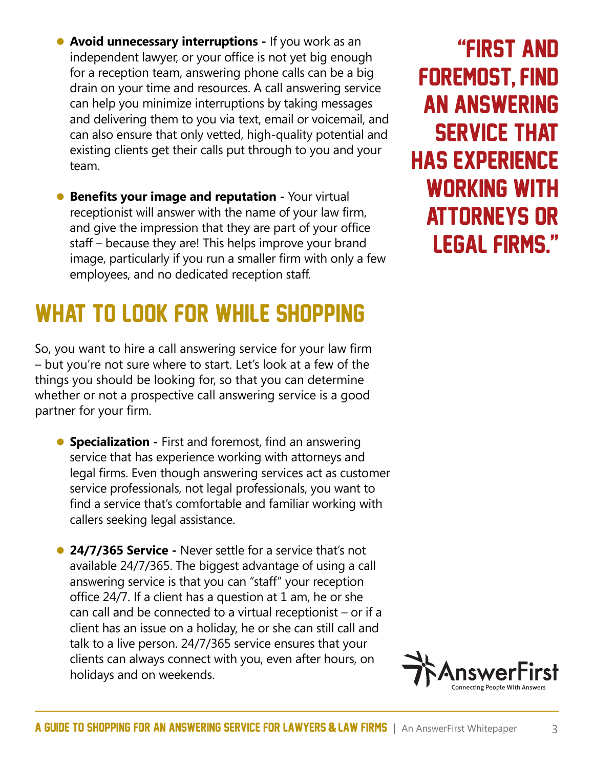- **Avoid unnecessary interruptions** If you work as an independent lawyer, or your office is not yet big enough for a reception team, answering phone calls can be a big drain on your time and resources. A call answering service can help you minimize interruptions by taking messages and delivering them to you via text, email or voicemail, and can also ensure that only vetted, high-quality potential and existing clients get their calls put through to you and your team.
- **Benefits your image and reputation** Your virtual receptionist will answer with the name of your law firm, and give the impression that they are part of your office staff – because they are! This helps improve your brand image, particularly if you run a smaller firm with only a few employees, and no dedicated reception staff.

### What To Look For while shopping

So, you want to hire a call answering service for your law firm – but you're not sure where to start. Let's look at a few of the things you should be looking for, so that you can determine whether or not a prospective call answering service is a good partner for your firm.

- **Specialization** First and foremost, find an answering service that has experience working with attorneys and legal firms. Even though answering services act as customer service professionals, not legal professionals, you want to find a service that's comfortable and familiar working with callers seeking legal assistance.
- **24/7/365 Service** Never settle for a service that's not available 24/7/365. The biggest advantage of using a call answering service is that you can "staff" your reception office 24/7. If a client has a question at 1 am, he or she can call and be connected to a virtual receptionist – or if a client has an issue on a holiday, he or she can still call and talk to a live person. 24/7/365 service ensures that your clients can always connect with you, even after hours, on holidays and on weekends.

"First and foremost, find an answering service that has experience working with attorneys or legal firms."

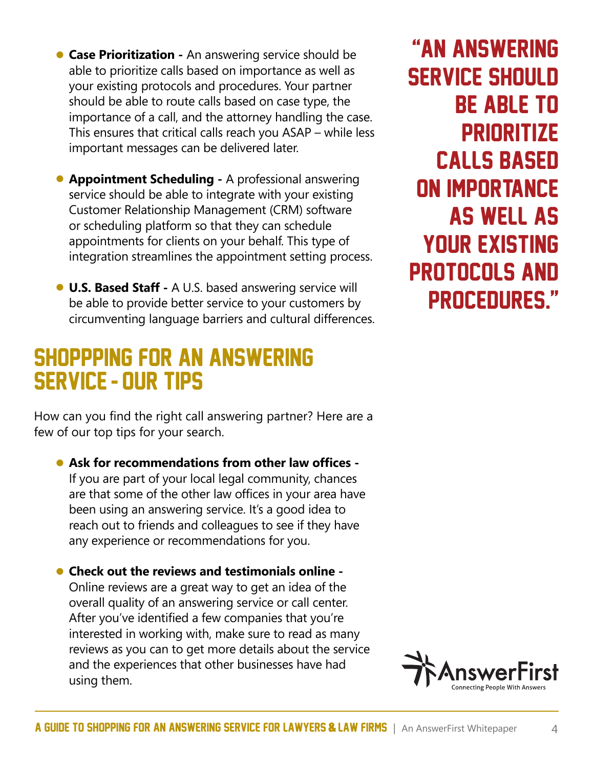- **Case Prioritization** An answering service should be able to prioritize calls based on importance as well as your existing protocols and procedures. Your partner should be able to route calls based on case type, the importance of a call, and the attorney handling the case. This ensures that critical calls reach you ASAP – while less important messages can be delivered later.
- **Appointment Scheduling** A professional answering service should be able to integrate with your existing Customer Relationship Management (CRM) software or scheduling platform so that they can schedule appointments for clients on your behalf. This type of integration streamlines the appointment setting process.
- **U.S. Based Staff** A U.S. based answering service will be able to provide better service to your customers by circumventing language barriers and cultural differences.

#### shoppping For An Answering Service - Our Tips

How can you find the right call answering partner? Here are a few of our top tips for your search.

• **Ask for recommendations from other law offices -**  If you are part of your local legal community, chances are that some of the other law offices in your area have been using an answering service. It's a good idea to reach out to friends and colleagues to see if they have any experience or recommendations for you.

• **Check out the reviews and testimonials online -**  Online reviews are a great way to get an idea of the overall quality of an answering service or call center. After you've identified a few companies that you're interested in working with, make sure to read as many reviews as you can to get more details about the service and the experiences that other businesses have had using them.

"An answering service should be able to **PRIORITIZE** calls based on importance as well as your existing protocols and procedures."